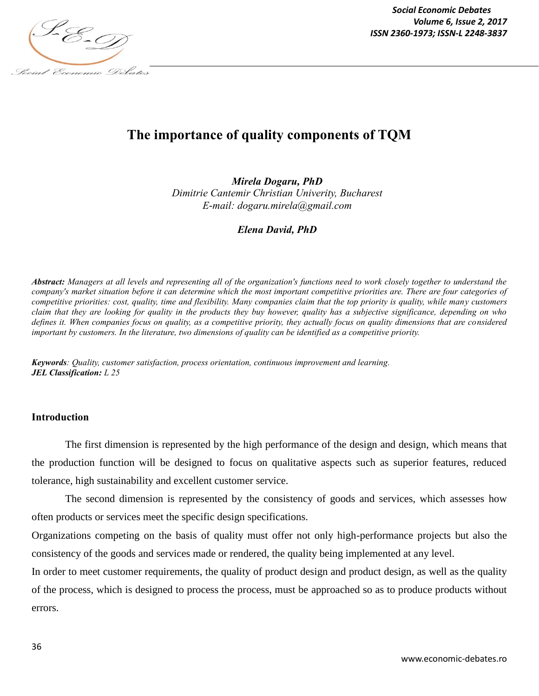

# **The importance of quality components of TQM**

*Mirela Dogaru, PhD Dimitrie Cantemir Christian Univerity, Bucharest E-mail: dogaru.mirela@gmail.com*

*Elena David, PhD*

*Abstract: Managers at all levels and representing all of the organization's functions need to work closely together to understand the company's market situation before it can determine which the most important competitive priorities are. There are four categories of competitive priorities: cost, quality, time and flexibility. Many companies claim that the top priority is quality, while many customers claim that they are looking for quality in the products they buy however, quality has a subjective significance, depending on who defines it. When companies focus on quality, as a competitive priority, they actually focus on quality dimensions that are considered important by customers. In the literature, two dimensions of quality can be identified as a competitive priority.*

*Keywords: Quality, customer satisfaction, process orientation, continuous improvement and learning. JEL Classification: L 25*

### **Introduction**

The first dimension is represented by the high performance of the design and design, which means that the production function will be designed to focus on qualitative aspects such as superior features, reduced tolerance, high sustainability and excellent customer service.

The second dimension is represented by the consistency of goods and services, which assesses how often products or services meet the specific design specifications.

Organizations competing on the basis of quality must offer not only high-performance projects but also the consistency of the goods and services made or rendered, the quality being implemented at any level.

In order to meet customer requirements, the quality of product design and product design, as well as the quality of the process, which is designed to process the process, must be approached so as to produce products without errors.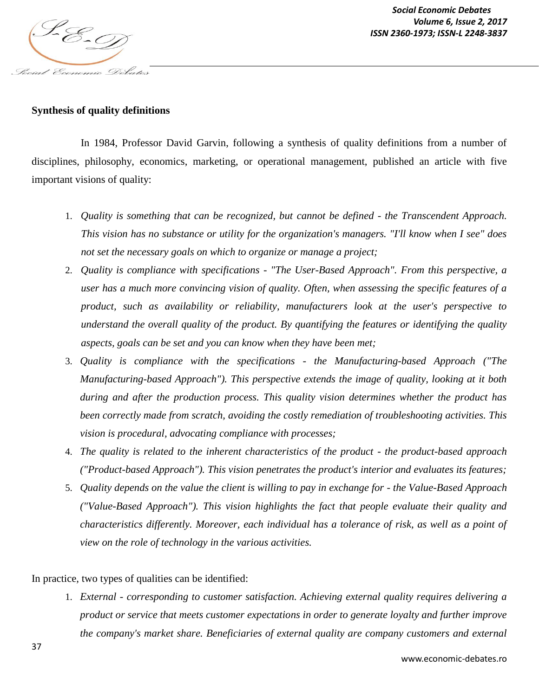

## **Synthesis of quality definitions**

In 1984, Professor David Garvin, following a synthesis of quality definitions from a number of disciplines, philosophy, economics, marketing, or operational management, published an article with five important visions of quality:

- 1. *Quality is something that can be recognized, but cannot be defined - the Transcendent Approach. This vision has no substance or utility for the organization's managers. "I'll know when I see" does not set the necessary goals on which to organize or manage a project;*
- 2. *Quality is compliance with specifications - "The User-Based Approach". From this perspective, a user has a much more convincing vision of quality. Often, when assessing the specific features of a product, such as availability or reliability, manufacturers look at the user's perspective to understand the overall quality of the product. By quantifying the features or identifying the quality aspects, goals can be set and you can know when they have been met;*
- 3. *Quality is compliance with the specifications - the Manufacturing-based Approach ("The Manufacturing-based Approach"). This perspective extends the image of quality, looking at it both during and after the production process. This quality vision determines whether the product has been correctly made from scratch, avoiding the costly remediation of troubleshooting activities. This vision is procedural, advocating compliance with processes;*
- 4. *The quality is related to the inherent characteristics of the product - the product-based approach ("Product-based Approach"). This vision penetrates the product's interior and evaluates its features;*
- 5. *Quality depends on the value the client is willing to pay in exchange for - the Value-Based Approach ("Value-Based Approach"). This vision highlights the fact that people evaluate their quality and characteristics differently. Moreover, each individual has a tolerance of risk, as well as a point of view on the role of technology in the various activities.*

In practice, two types of qualities can be identified:

1. *External - corresponding to customer satisfaction. Achieving external quality requires delivering a product or service that meets customer expectations in order to generate loyalty and further improve the company's market share. Beneficiaries of external quality are company customers and external*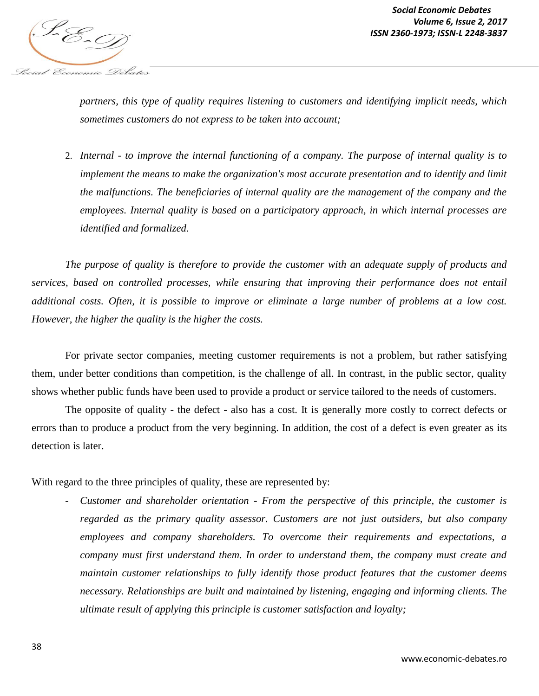

*partners, this type of quality requires listening to customers and identifying implicit needs, which sometimes customers do not express to be taken into account;*

2. *Internal - to improve the internal functioning of a company. The purpose of internal quality is to implement the means to make the organization's most accurate presentation and to identify and limit the malfunctions. The beneficiaries of internal quality are the management of the company and the employees. Internal quality is based on a participatory approach, in which internal processes are identified and formalized.*

*The purpose of quality is therefore to provide the customer with an adequate supply of products and services, based on controlled processes, while ensuring that improving their performance does not entail additional costs. Often, it is possible to improve or eliminate a large number of problems at a low cost. However, the higher the quality is the higher the costs.*

For private sector companies, meeting customer requirements is not a problem, but rather satisfying them, under better conditions than competition, is the challenge of all. In contrast, in the public sector, quality shows whether public funds have been used to provide a product or service tailored to the needs of customers.

The opposite of quality - the defect - also has a cost. It is generally more costly to correct defects or errors than to produce a product from the very beginning. In addition, the cost of a defect is even greater as its detection is later.

With regard to the three principles of quality, these are represented by:

*- Customer and shareholder orientation - From the perspective of this principle, the customer is regarded as the primary quality assessor. Customers are not just outsiders, but also company employees and company shareholders. To overcome their requirements and expectations, a company must first understand them. In order to understand them, the company must create and maintain customer relationships to fully identify those product features that the customer deems necessary. Relationships are built and maintained by listening, engaging and informing clients. The ultimate result of applying this principle is customer satisfaction and loyalty;*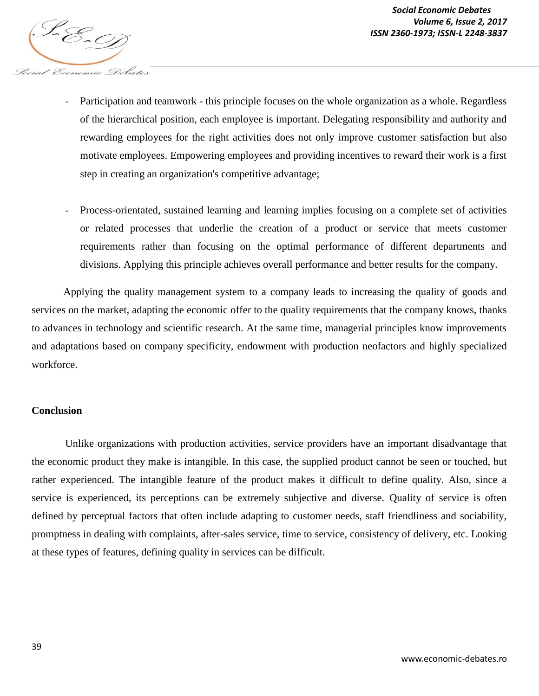

- *locial Economic Debates* 
	- Participation and teamwork this principle focuses on the whole organization as a whole. Regardless of the hierarchical position, each employee is important. Delegating responsibility and authority and rewarding employees for the right activities does not only improve customer satisfaction but also motivate employees. Empowering employees and providing incentives to reward their work is a first step in creating an organization's competitive advantage;
	- *-* Process-orientated, sustained learning and learning implies focusing on a complete set of activities or related processes that underlie the creation of a product or service that meets customer requirements rather than focusing on the optimal performance of different departments and divisions. Applying this principle achieves overall performance and better results for the company.

Applying the quality management system to a company leads to increasing the quality of goods and services on the market, adapting the economic offer to the quality requirements that the company knows, thanks to advances in technology and scientific research. At the same time, managerial principles know improvements and adaptations based on company specificity, endowment with production neofactors and highly specialized workforce.

#### **Conclusion**

Unlike organizations with production activities, service providers have an important disadvantage that the economic product they make is intangible. In this case, the supplied product cannot be seen or touched, but rather experienced. The intangible feature of the product makes it difficult to define quality. Also, since a service is experienced, its perceptions can be extremely subjective and diverse. Quality of service is often defined by perceptual factors that often include adapting to customer needs, staff friendliness and sociability, promptness in dealing with complaints, after-sales service, time to service, consistency of delivery, etc. Looking at these types of features, defining quality in services can be difficult.